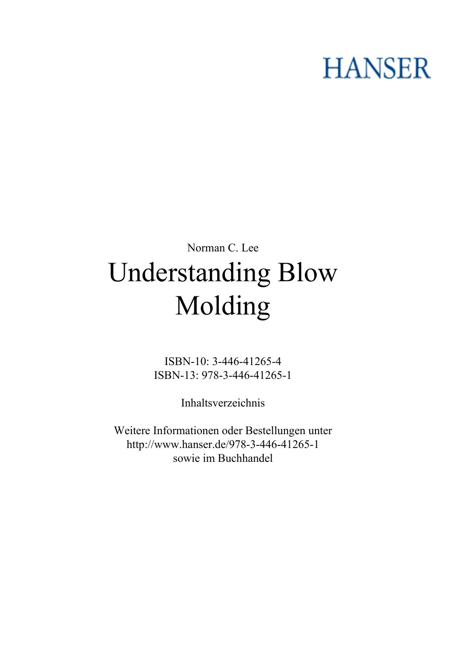## **HANSER**

## **Norman C. Lee Understanding Blow Molding**

**ISBN-10: 3-446-41265-4 ISBN-13: 978-3-446-41265-1**

**Inhaltsverzeichnis**

**Weitere Informationen oder Bestellungen unter <http://www.hanser.de/978-3-446-41265-1> sowie im Buchhandel**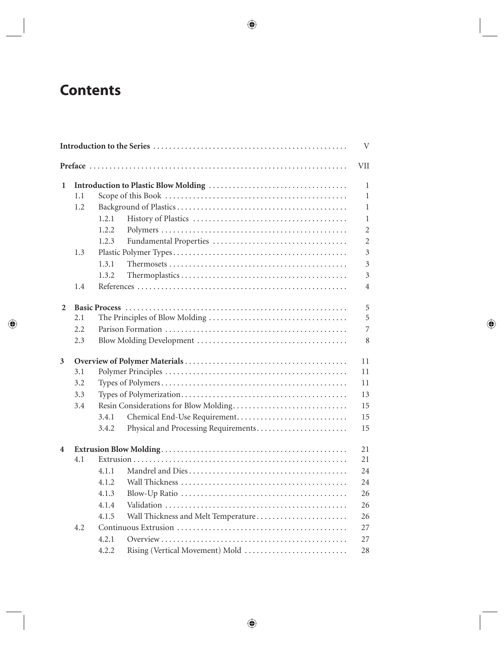## **Contents**

|                |     |                                       |                                      | V              |  |  |
|----------------|-----|---------------------------------------|--------------------------------------|----------------|--|--|
|                |     |                                       |                                      | <b>VII</b>     |  |  |
| 1              |     |                                       |                                      |                |  |  |
|                | 1.1 |                                       |                                      | $\mathbf{1}$   |  |  |
|                | 1.2 |                                       |                                      | $\mathbf{1}$   |  |  |
|                |     | 1.2.1                                 |                                      | $\mathbf{1}$   |  |  |
|                |     | 1.2.2                                 |                                      | $\overline{2}$ |  |  |
|                |     | 1.2.3                                 |                                      | $\overline{2}$ |  |  |
|                | 1.3 |                                       |                                      | $\overline{3}$ |  |  |
|                |     | 1.3.1                                 |                                      | $\overline{3}$ |  |  |
|                |     | 1.3.2                                 |                                      | 3              |  |  |
|                | 1.4 |                                       |                                      | $\overline{4}$ |  |  |
| $\overline{2}$ |     |                                       |                                      | 5              |  |  |
|                | 2.1 |                                       |                                      | 5              |  |  |
|                | 2.2 |                                       |                                      | $\overline{7}$ |  |  |
|                | 2.3 |                                       |                                      | 8              |  |  |
| 3              |     |                                       |                                      | 11             |  |  |
|                | 3.1 |                                       |                                      |                |  |  |
|                | 3.2 |                                       |                                      | 11             |  |  |
|                | 3.3 |                                       |                                      | 13             |  |  |
|                | 3.4 | Resin Considerations for Blow Molding |                                      |                |  |  |
|                |     | 3.4.1                                 |                                      | 15             |  |  |
|                |     | 3.4.2                                 | Physical and Processing Requirements | 15             |  |  |
| 4              |     |                                       |                                      | 21             |  |  |
|                | 4.1 |                                       |                                      | 21             |  |  |
|                |     | 4.1.1                                 |                                      | 24             |  |  |
|                |     | 4.1.2                                 |                                      | 24             |  |  |
|                |     | 4.1.3                                 |                                      | 26             |  |  |
|                |     | 4.1.4                                 |                                      | 26             |  |  |
|                |     | 4.1.5                                 | Wall Thickness and Melt Temperature  | 26             |  |  |
|                | 4.2 |                                       |                                      | 27             |  |  |
|                |     | 4.2.1                                 |                                      | 27             |  |  |
|                |     | 4.2.2                                 | Rising (Vertical Movement) Mold      | 28             |  |  |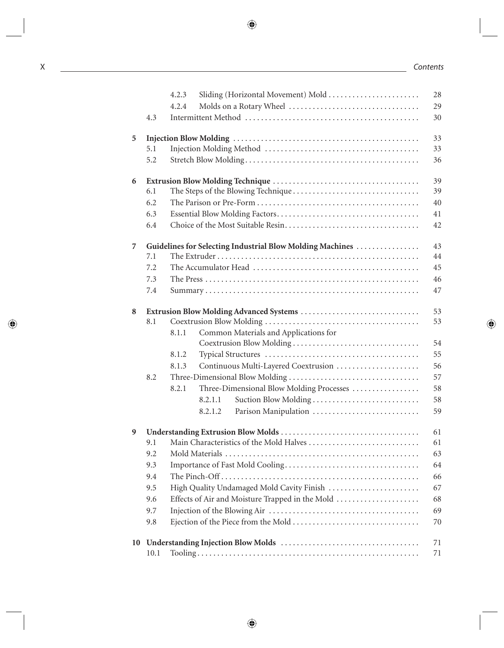|    |                                                           | 4.2.3<br>Sliding (Horizontal Movement) Mold           | 28 |  |  |  |
|----|-----------------------------------------------------------|-------------------------------------------------------|----|--|--|--|
|    |                                                           | 4.2.4                                                 | 29 |  |  |  |
|    | 4.3                                                       |                                                       | 30 |  |  |  |
| 5  | 33                                                        |                                                       |    |  |  |  |
|    | 5.1                                                       |                                                       | 33 |  |  |  |
|    | 5.2                                                       |                                                       | 36 |  |  |  |
| 6  |                                                           |                                                       |    |  |  |  |
|    | 6.1                                                       |                                                       | 39 |  |  |  |
|    | 6.2                                                       |                                                       | 40 |  |  |  |
|    | 6.3                                                       |                                                       | 41 |  |  |  |
|    | 6.4                                                       |                                                       | 42 |  |  |  |
| 7  | Guidelines for Selecting Industrial Blow Molding Machines |                                                       |    |  |  |  |
|    | 7.1                                                       |                                                       | 44 |  |  |  |
|    | 7.2                                                       |                                                       | 45 |  |  |  |
|    | 7.3                                                       |                                                       | 46 |  |  |  |
|    | 7.4                                                       |                                                       | 47 |  |  |  |
| 8  |                                                           |                                                       | 53 |  |  |  |
|    | 8.1                                                       |                                                       | 53 |  |  |  |
|    |                                                           | Common Materials and Applications for<br>8.1.1        |    |  |  |  |
|    |                                                           | Coextrusion Blow Molding                              | 54 |  |  |  |
|    |                                                           | 8.1.2                                                 | 55 |  |  |  |
|    |                                                           | 8.1.3<br>Continuous Multi-Layered Coextrusion         | 56 |  |  |  |
|    | 8.2                                                       |                                                       | 57 |  |  |  |
|    |                                                           | Three-Dimensional Blow Molding Processes<br>8.2.1     | 58 |  |  |  |
|    |                                                           | Suction Blow Molding<br>8.2.1.1                       | 58 |  |  |  |
|    |                                                           | Parison Manipulation<br>8.2.1.2                       | 59 |  |  |  |
| 9  |                                                           |                                                       | 61 |  |  |  |
|    | 9.1                                                       | Main Characteristics of the Mold Halves<br>61         |    |  |  |  |
|    | 9.2                                                       | 63                                                    |    |  |  |  |
|    | 9.3                                                       | 64                                                    |    |  |  |  |
|    | 9.4                                                       | 66                                                    |    |  |  |  |
|    | 9.5                                                       | High Quality Undamaged Mold Cavity Finish<br>67       |    |  |  |  |
|    | 9.6                                                       | Effects of Air and Moisture Trapped in the Mold<br>68 |    |  |  |  |
|    | 9.7                                                       | 69                                                    |    |  |  |  |
|    | 9.8                                                       |                                                       | 70 |  |  |  |
| 10 |                                                           |                                                       | 71 |  |  |  |
|    | 10.1                                                      |                                                       | 71 |  |  |  |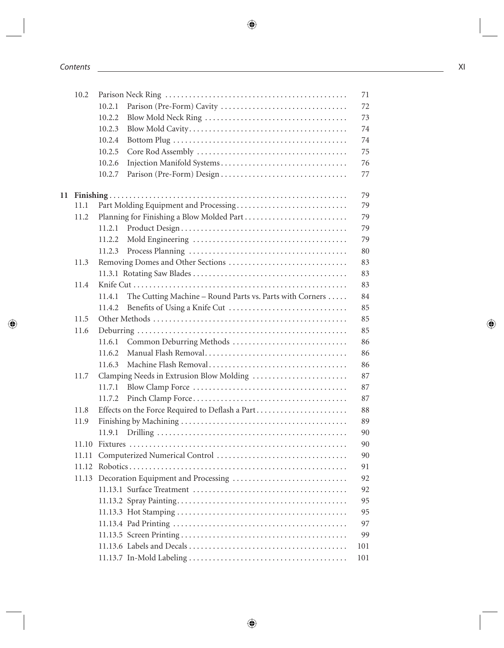| 10.2  | 71                                                                 |     |  |
|-------|--------------------------------------------------------------------|-----|--|
|       | 10.2.1                                                             | 72  |  |
|       | 10.2.2                                                             | 73  |  |
|       | 10.2.3                                                             | 74  |  |
|       | 10.2.4                                                             | 74  |  |
|       | 10.2.5                                                             | 75  |  |
|       | 10.2.6                                                             | 76  |  |
|       | 10.2.7                                                             | 77  |  |
|       |                                                                    | 79  |  |
| 11.1  | Part Molding Equipment and Processing                              | 79  |  |
| 11.2  |                                                                    | 79  |  |
|       | 11.2.1                                                             | 79  |  |
|       | 11.2.2                                                             | 79  |  |
|       | 11.2.3                                                             | 80  |  |
| 11.3  |                                                                    | 83  |  |
|       |                                                                    | 83  |  |
| 11.4  |                                                                    | 83  |  |
|       | The Cutting Machine – Round Parts vs. Parts with Corners<br>11.4.1 | 84  |  |
|       | 11.4.2                                                             | 85  |  |
| 11.5  |                                                                    | 85  |  |
| 11.6  |                                                                    | 85  |  |
|       | Common Deburring Methods<br>11.6.1                                 | 86  |  |
|       | 11.6.2                                                             | 86  |  |
|       | 11.6.3                                                             | 86  |  |
| 11.7  | Clamping Needs in Extrusion Blow Molding                           | 87  |  |
|       | 11.7.1                                                             | 87  |  |
|       | 11.7.2                                                             | 87  |  |
| 11.8  | Effects on the Force Required to Deflash a Part                    | 88  |  |
| 11.9  |                                                                    | 89  |  |
|       | 11.9.1                                                             | 90  |  |
| 11.10 |                                                                    | 90  |  |
| 11.11 |                                                                    | 90  |  |
|       |                                                                    | 91  |  |
| 11.13 |                                                                    | 92  |  |
|       |                                                                    | 92  |  |
|       |                                                                    | 95  |  |
|       |                                                                    | 95  |  |
|       |                                                                    | 97  |  |
|       |                                                                    | 99  |  |
|       |                                                                    | 101 |  |
|       |                                                                    | 101 |  |